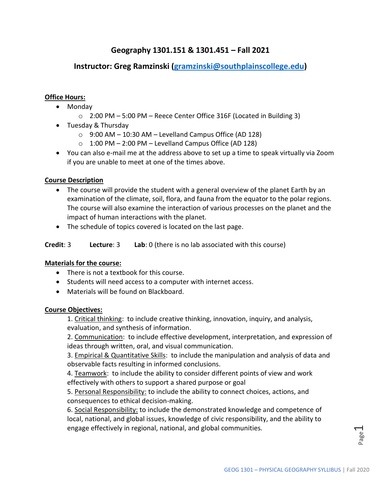# **Geography 1301.151 & 1301.451 – Fall 2021**

# **Instructor: Greg Ramzinski [\(gramzinski@southplainscollege.edu\)](mailto:gramzinski@southplainscollege.edu)**

## **Office Hours:**

- Monday
	- o 2:00 PM 5:00 PM Reece Center Office 316F (Located in Building 3)
- Tuesday & Thursday
	- $\circ$  9:00 AM 10:30 AM Levelland Campus Office (AD 128)
	- $\circ$  1:00 PM 2:00 PM Levelland Campus Office (AD 128)
- You can also e-mail me at the address above to set up a time to speak virtually via Zoom if you are unable to meet at one of the times above.

## **Course Description**

- The course will provide the student with a general overview of the planet Earth by an examination of the climate, soil, flora, and fauna from the equator to the polar regions. The course will also examine the interaction of various processes on the planet and the impact of human interactions with the planet.
- The schedule of topics covered is located on the last page.

**Credit**: 3 **Lecture**: 3 **Lab**: 0 (there is no lab associated with this course)

# **Materials for the course:**

- There is not a textbook for this course.
- Students will need access to a computer with internet access.
- Materials will be found on Blackboard.

## **Course Objectives:**

1. Critical thinking: to include creative thinking, innovation, inquiry, and analysis, evaluation, and synthesis of information.

2. Communication: to include effective development, interpretation, and expression of ideas through written, oral, and visual communication.

3. Empirical & Quantitative Skills: to include the manipulation and analysis of data and observable facts resulting in informed conclusions.

4. Teamwork: to include the ability to consider different points of view and work effectively with others to support a shared purpose or goal

5. Personal Responsibility: to include the ability to connect choices, actions, and consequences to ethical decision-making.

6. Social Responsibility: to include the demonstrated knowledge and competence of local, national, and global issues, knowledge of civic responsibility, and the ability to engage effectively in regional, national, and global communities*.*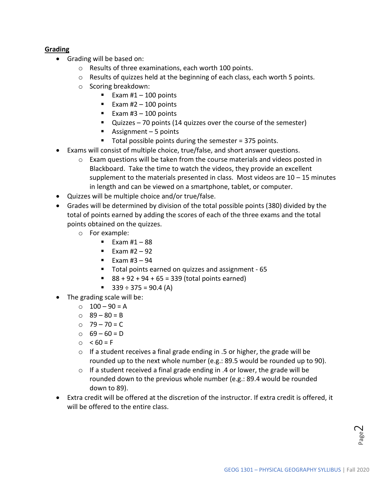# **Grading**

- Grading will be based on:
	- o Results of three examinations, each worth 100 points.
	- o Results of quizzes held at the beginning of each class, each worth 5 points.
	- o Scoring breakdown:
		- Exam  $#1 100$  points
		- Exam  $#2 100$  points
		- Exam  $#3 100$  points
		- Quizzes 70 points (14 quizzes over the course of the semester)
		- Assignment 5 points
		- $\blacksquare$  Total possible points during the semester = 375 points.
- Exams will consist of multiple choice, true/false, and short answer questions.
	- $\circ$  Exam questions will be taken from the course materials and videos posted in Blackboard. Take the time to watch the videos, they provide an excellent supplement to the materials presented in class. Most videos are  $10 - 15$  minutes in length and can be viewed on a smartphone, tablet, or computer.
- Quizzes will be multiple choice and/or true/false.
- Grades will be determined by division of the total possible points (380) divided by the total of points earned by adding the scores of each of the three exams and the total points obtained on the quizzes.
	- o For example:
		- $\blacksquare$  Exam #1 88
		- Exam #2 92
		- $\blacksquare$  Exam #3 94
		- Total points earned on quizzes and assignment 65
		- $88 + 92 + 94 + 65 = 339$  (total points earned)
		- $\div$  339 ÷ 375 = 90.4 (A)
- The grading scale will be:
	- $\circ$  100 90 = A
	- $0 \ 89 80 = B$
	- $O$  79 70 = C
	- $0 69 60 = D$
	- $\circ$  < 60 = F
	- o If a student receives a final grade ending in .5 or higher, the grade will be rounded up to the next whole number (e.g.: 89.5 would be rounded up to 90).
	- $\circ$  If a student received a final grade ending in .4 or lower, the grade will be rounded down to the previous whole number (e.g.: 89.4 would be rounded down to 89).
- Extra credit will be offered at the discretion of the instructor. If extra credit is offered, it will be offered to the entire class.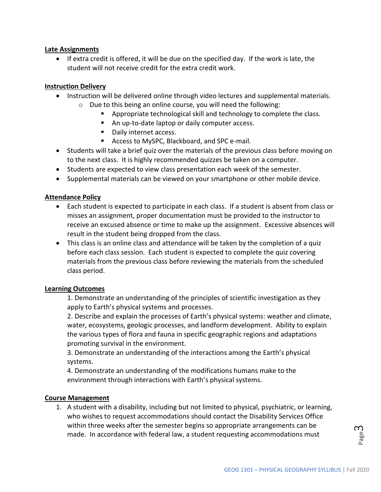## **Late Assignments**

• If extra credit is offered, it will be due on the specified day. If the work is late, the student will not receive credit for the extra credit work.

## **Instruction Delivery**

- Instruction will be delivered online through video lectures and supplemental materials.
	- o Due to this being an online course, you will need the following:
		- Appropriate technological skill and technology to complete the class.
		- An up-to-date laptop or daily computer access.
		- Daily internet access.
		- Access to MySPC, Blackboard, and SPC e-mail.
- Students will take a brief quiz over the materials of the previous class before moving on to the next class. It is highly recommended quizzes be taken on a computer.
- Students are expected to view class presentation each week of the semester.
- Supplemental materials can be viewed on your smartphone or other mobile device.

## **Attendance Policy**

- Each student is expected to participate in each class. If a student is absent from class or misses an assignment, proper documentation must be provided to the instructor to receive an excused absence or time to make up the assignment. Excessive absences will result in the student being dropped from the class.
- This class is an online class and attendance will be taken by the completion of a quiz before each class session. Each student is expected to complete the quiz covering materials from the previous class before reviewing the materials from the scheduled class period.

## **Learning Outcomes**

1. Demonstrate an understanding of the principles of scientific investigation as they apply to Earth's physical systems and processes.

2. Describe and explain the processes of Earth's physical systems: weather and climate, water, ecosystems, geologic processes, and landform development. Ability to explain the various types of flora and fauna in specific geographic regions and adaptations promoting survival in the environment.

3. Demonstrate an understanding of the interactions among the Earth's physical systems.

4. Demonstrate an understanding of the modifications humans make to the environment through interactions with Earth's physical systems.

## **Course Management**

1. A student with a disability, including but not limited to physical, psychiatric, or learning, who wishes to request accommodations should contact the Disability Services Office within three weeks after the semester begins so appropriate arrangements can be made. In accordance with federal law, a student requesting accommodations must

 $\mathcal{E}^{\text{age}}$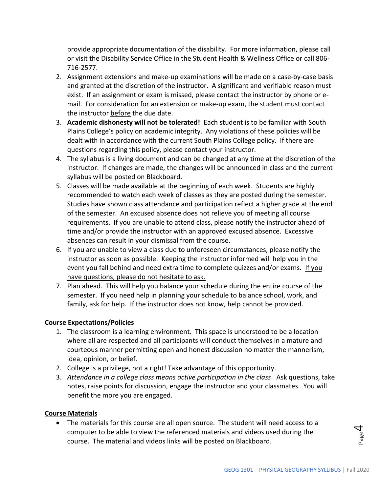provide appropriate documentation of the disability. For more information, please call or visit the Disability Service Office in the Student Health & Wellness Office or call 806- 716-2577.

- 2. Assignment extensions and make-up examinations will be made on a case-by-case basis and granted at the discretion of the instructor. A significant and verifiable reason must exist. If an assignment or exam is missed, please contact the instructor by phone or email. For consideration for an extension or make-up exam, the student must contact the instructor before the due date.
- 3. **Academic dishonesty will not be tolerated!** Each student is to be familiar with South Plains College's policy on academic integrity. Any violations of these policies will be dealt with in accordance with the current South Plains College policy. If there are questions regarding this policy, please contact your instructor.
- 4. The syllabus is a living document and can be changed at any time at the discretion of the instructor. If changes are made, the changes will be announced in class and the current syllabus will be posted on Blackboard.
- 5. Classes will be made available at the beginning of each week. Students are highly recommended to watch each week of classes as they are posted during the semester. Studies have shown class attendance and participation reflect a higher grade at the end of the semester. An excused absence does not relieve you of meeting all course requirements. If you are unable to attend class, please notify the instructor ahead of time and/or provide the instructor with an approved excused absence. Excessive absences can result in your dismissal from the course.
- 6. If you are unable to view a class due to unforeseen circumstances, please notify the instructor as soon as possible. Keeping the instructor informed will help you in the event you fall behind and need extra time to complete quizzes and/or exams. If you have questions, please do not hesitate to ask.
- 7. Plan ahead. This will help you balance your schedule during the entire course of the semester. If you need help in planning your schedule to balance school, work, and family, ask for help. If the instructor does not know, help cannot be provided.

## **Course Expectations/Policies**

- 1. The classroom is a learning environment. This space is understood to be a location where all are respected and all participants will conduct themselves in a mature and courteous manner permitting open and honest discussion no matter the mannerism, idea, opinion, or belief.
- 2. College is a privilege, not a right! Take advantage of this opportunity.
- 3. *Attendance in a college class means active participation in the class*. Ask questions, take notes, raise points for discussion, engage the instructor and your classmates. You will benefit the more you are engaged.

## **Course Materials**

• The materials for this course are all open source. The student will need access to a computer to be able to view the referenced materials and videos used during the course. The material and videos links will be posted on Blackboard.

age4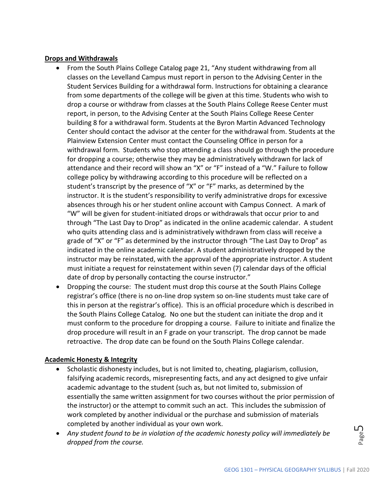## **Drops and Withdrawals**

- From the South Plains College Catalog page 21, "Any student withdrawing from all classes on the Levelland Campus must report in person to the Advising Center in the Student Services Building for a withdrawal form. Instructions for obtaining a clearance from some departments of the college will be given at this time. Students who wish to drop a course or withdraw from classes at the South Plains College Reese Center must report, in person, to the Advising Center at the South Plains College Reese Center building 8 for a withdrawal form. Students at the Byron Martin Advanced Technology Center should contact the advisor at the center for the withdrawal from. Students at the Plainview Extension Center must contact the Counseling Office in person for a withdrawal form. Students who stop attending a class should go through the procedure for dropping a course; otherwise they may be administratively withdrawn for lack of attendance and their record will show an "X" or "F" instead of a "W." Failure to follow college policy by withdrawing according to this procedure will be reflected on a student's transcript by the presence of "X" or "F" marks, as determined by the instructor. It is the student's responsibility to verify administrative drops for excessive absences through his or her student online account with Campus Connect. A mark of "W" will be given for student-initiated drops or withdrawals that occur prior to and through "The Last Day to Drop" as indicated in the online academic calendar. A student who quits attending class and is administratively withdrawn from class will receive a grade of "X" or "F" as determined by the instructor through "The Last Day to Drop" as indicated in the online academic calendar. A student administratively dropped by the instructor may be reinstated, with the approval of the appropriate instructor. A student must initiate a request for reinstatement within seven (7) calendar days of the official date of drop by personally contacting the course instructor."
- Dropping the course: The student must drop this course at the South Plains College registrar's office (there is no on-line drop system so on-line students must take care of this in person at the registrar's office). This is an official procedure which is described in the South Plains College Catalog. No one but the student can initiate the drop and it must conform to the procedure for dropping a course. Failure to initiate and finalize the drop procedure will result in an F grade on your transcript. The drop cannot be made retroactive. The drop date can be found on the South Plains College calendar.

# **Academic Honesty & Integrity**

- Scholastic dishonesty includes, but is not limited to, cheating, plagiarism, collusion, falsifying academic records, misrepresenting facts, and any act designed to give unfair academic advantage to the student (such as, but not limited to, submission of essentially the same written assignment for two courses without the prior permission of the instructor) or the attempt to commit such an act. This includes the submission of work completed by another individual or the purchase and submission of materials completed by another individual as your own work.
- *Any student found to be in violation of the academic honesty policy will immediately be dropped from the course.*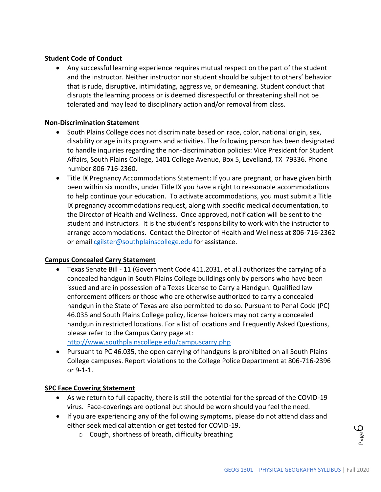# **Student Code of Conduct**

• Any successful learning experience requires mutual respect on the part of the student and the instructor. Neither instructor nor student should be subject to others' behavior that is rude, disruptive, intimidating, aggressive, or demeaning. Student conduct that disrupts the learning process or is deemed disrespectful or threatening shall not be tolerated and may lead to disciplinary action and/or removal from class.

## **Non-Discrimination Statement**

- South Plains College does not discriminate based on race, color, national origin, sex, disability or age in its programs and activities. The following person has been designated to handle inquiries regarding the non-discrimination policies: Vice President for Student Affairs, South Plains College, 1401 College Avenue, Box 5, Levelland, TX 79336. Phone number 806-716-2360.
- Title IX Pregnancy Accommodations Statement: If you are pregnant, or have given birth been within six months, under Title IX you have a right to reasonable accommodations to help continue your education. To activate accommodations, you must submit a Title IX pregnancy accommodations request, along with specific medical documentation, to the Director of Health and Wellness. Once approved, notification will be sent to the student and instructors. It is the student's responsibility to work with the instructor to arrange accommodations. Contact the Director of Health and Wellness at 806-716-2362 or emai[l cgilster@southplainscollege.edu](mailto:cgilster@southplainscollege.edu) for assistance.

## **Campus Concealed Carry Statement**

• Texas Senate Bill - 11 (Government Code 411.2031, et al.) authorizes the carrying of a concealed handgun in South Plains College buildings only by persons who have been issued and are in possession of a Texas License to Carry a Handgun. Qualified law enforcement officers or those who are otherwise authorized to carry a concealed handgun in the State of Texas are also permitted to do so. Pursuant to Penal Code (PC) 46.035 and South Plains College policy, license holders may not carry a concealed handgun in restricted locations. For a list of locations and Frequently Asked Questions, please refer to the Campus Carry page at:

<http://www.southplainscollege.edu/campuscarry.php>

• Pursuant to PC 46.035, the open carrying of handguns is prohibited on all South Plains College campuses. Report violations to the College Police Department at 806-716-2396 or 9-1-1.

# **SPC Face Covering Statement**

- As we return to full capacity, there is still the potential for the spread of the COVID-19 virus. Face-coverings are optional but should be worn should you feel the need.
- If you are experiencing any of the following symptoms, please do not attend class and either seek medical attention or get tested for COVID-19.
	- o Cough, shortness of breath, difficulty breathing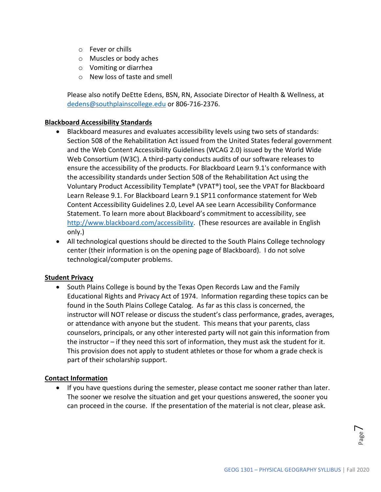- o Fever or chills
- o Muscles or body aches
- o Vomiting or diarrhea
- o New loss of taste and smell

Please also notify DeEtte Edens, BSN, RN, Associate Director of Health & Wellness, at [dedens@southplainscollege.edu](mailto:dedens@southplainscollege.edu) or 806-716-2376.

## **Blackboard Accessibility Standards**

- Blackboard measures and evaluates accessibility levels using two sets of standards: Section 508 of the Rehabilitation Act issued from the United States federal government and the Web Content Accessibility Guidelines (WCAG 2.0) issued by the World Wide Web Consortium (W3C). A third-party conducts audits of our software releases to ensure the accessibility of the products. For Blackboard Learn 9.1's conformance with the accessibility standards under Section 508 of the Rehabilitation Act using the Voluntary Product Accessibility Template® (VPAT®) tool, see the VPAT for Blackboard Learn Release 9.1. For Blackboard Learn 9.1 SP11 conformance statement for Web Content Accessibility Guidelines 2.0, Level AA see Learn Accessibility Conformance Statement. To learn more about Blackboard's commitment to accessibility, see [http://www.blackboard.com/accessibility.](http://www.blackboard.com/accessibility) (These resources are available in English only.)
- All technological questions should be directed to the South Plains College technology center (their information is on the opening page of Blackboard). I do not solve technological/computer problems.

## **Student Privacy**

• South Plains College is bound by the Texas Open Records Law and the Family Educational Rights and Privacy Act of 1974. Information regarding these topics can be found in the South Plains College Catalog. As far as this class is concerned, the instructor will NOT release or discuss the student's class performance, grades, averages, or attendance with anyone but the student. This means that your parents, class counselors, principals, or any other interested party will not gain this information from the instructor – if they need this sort of information, they must ask the student for it. This provision does not apply to student athletes or those for whom a grade check is part of their scholarship support.

## **Contact Information**

• If you have questions during the semester, please contact me sooner rather than later. The sooner we resolve the situation and get your questions answered, the sooner you can proceed in the course. If the presentation of the material is not clear, please ask.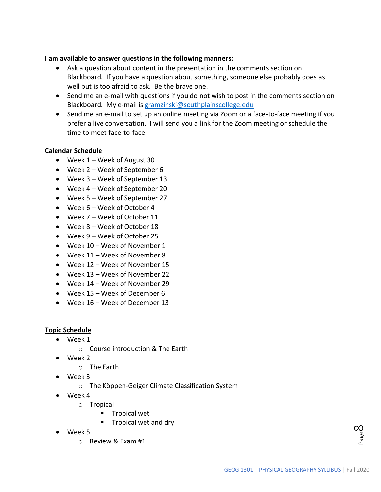## **I am available to answer questions in the following manners:**

- Ask a question about content in the presentation in the comments section on Blackboard. If you have a question about something, someone else probably does as well but is too afraid to ask. Be the brave one.
- Send me an e-mail with questions if you do not wish to post in the comments section on Blackboard. My e-mail is [gramzinski@southplainscollege.edu](mailto:gramzinski@southplainscollege.edu)
- Send me an e-mail to set up an online meeting via Zoom or a face-to-face meeting if you prefer a live conversation. I will send you a link for the Zoom meeting or schedule the time to meet face-to-face.

## **Calendar Schedule**

- Week 1 Week of August 30
- Week 2 Week of September 6
- Week 3 Week of September 13
- Week 4 Week of September 20
- Week 5 Week of September 27
- Week 6 Week of October 4
- Week 7 Week of October 11
- Week 8 Week of October 18
- Week 9 Week of October 25
- Week 10 Week of November 1
- Week 11 Week of November 8
- Week 12 Week of November 15
- Week 13 Week of November 22
- Week 14 Week of November 29
- Week 15 Week of December 6
- Week 16 Week of December 13

## **Topic Schedule**

- Week 1
	- o Course introduction & The Earth
- Week 2
	- o The Earth
- Week 3
	- o The Köppen-Geiger Climate Classification System
- Week 4
	- o Tropical
		- Tropical wet
		- Tropical wet and dry
- Week 5
	- o Review & Exam #1